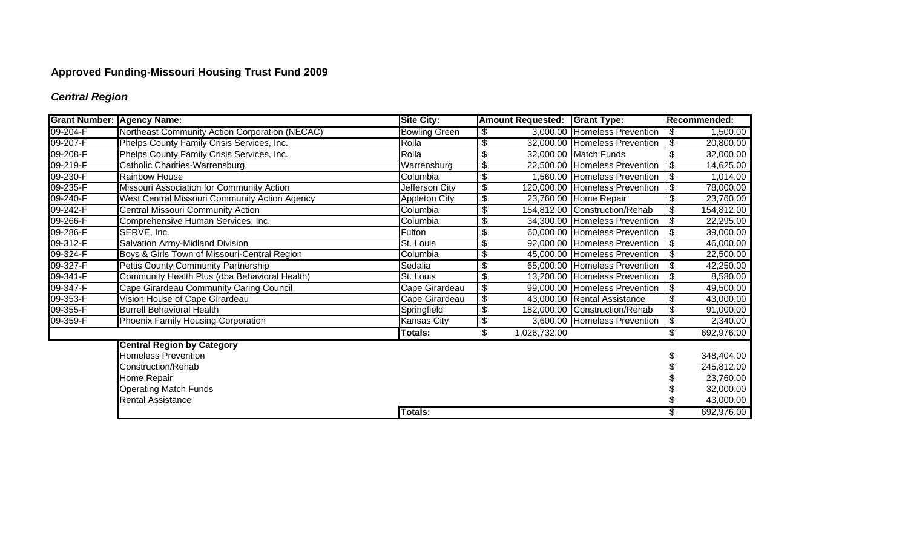# **Approved Funding-Missouri Housing Trust Fund 2009**

## *Central Region*

| <b>Grant Number: Agency Name:</b> |                                                | <b>Site City:</b>    | <b>Amount Requested: Grant Type:</b> |                                | Recommended:              |            |
|-----------------------------------|------------------------------------------------|----------------------|--------------------------------------|--------------------------------|---------------------------|------------|
| 09-204-F                          | Northeast Community Action Corporation (NECAC) | <b>Bowling Green</b> | \$                                   | 3,000.00 Homeless Prevention   | \$                        | 1,500.00   |
| 09-207-F                          | Phelps County Family Crisis Services, Inc.     | Rolla                | \$                                   | 32,000.00 Homeless Prevention  | \$                        | 20,800.00  |
| 09-208-F                          | Phelps County Family Crisis Services, Inc.     | Rolla                | \$                                   | 32,000.00 Match Funds          | \$                        | 32,000.00  |
| 09-219-F                          | Catholic Charities-Warrensburg                 | Warrensburg          | \$                                   | 22,500.00 Homeless Prevention  | \$                        | 14,625.00  |
| 09-230-F                          | Rainbow House                                  | Columbia             | \$                                   | 1,560.00 Homeless Prevention   | \$                        | 1,014.00   |
| 09-235-F                          | Missouri Association for Community Action      | Jefferson City       | \$                                   | 120,000.00 Homeless Prevention | \$                        | 78,000.00  |
| 09-240-F                          | West Central Missouri Community Action Agency  | <b>Appleton City</b> | \$                                   | 23,760.00 Home Repair          | $\overline{\mathcal{G}}$  | 23,760.00  |
| 09-242-F                          | <b>Central Missouri Community Action</b>       | Columbia             | \$                                   | 154,812.00 Construction/Rehab  | \$                        | 154,812.00 |
| 09-266-F                          | Comprehensive Human Services, Inc.             | Columbia             | \$                                   | 34,300.00 Homeless Prevention  | $\frac{1}{2}$             | 22,295.00  |
| 09-286-F                          | SERVE, Inc.                                    | Fulton               | \$                                   | 60,000.00 Homeless Prevention  | \$                        | 39,000.00  |
| 09-312-F                          | Salvation Army-Midland Division                | St. Louis            | \$                                   | 92,000.00 Homeless Prevention  | \$                        | 46,000.00  |
| 09-324-F                          | Boys & Girls Town of Missouri-Central Region   | Columbia             | \$                                   | 45,000.00 Homeless Prevention  | $\boldsymbol{\mathsf{S}}$ | 22,500.00  |
| 09-327-F                          | Pettis County Community Partnership            | Sedalia              | \$                                   | 65,000.00 Homeless Prevention  | $\boldsymbol{\mathsf{S}}$ | 42,250.00  |
| 09-341-F                          | Community Health Plus (dba Behavioral Health)  | St. Louis            | \$                                   | 13,200.00 Homeless Prevention  | \$                        | 8,580.00   |
| 09-347-F                          | Cape Girardeau Community Caring Council        | Cape Girardeau       | \$                                   | 99,000.00 Homeless Prevention  | \$                        | 49,500.00  |
| 09-353-F                          | Vision House of Cape Girardeau                 | Cape Girardeau       | \$                                   | 43,000.00 Rental Assistance    | \$                        | 43,000.00  |
| 09-355-F                          | <b>Burrell Behavioral Health</b>               | Springfield          | \$                                   | 182,000.00 Construction/Rehab  | $\frac{1}{2}$             | 91,000.00  |
| 09-359-F                          | Phoenix Family Housing Corporation             | Kansas City          | \$                                   | 3,600.00 Homeless Prevention   | $\frac{1}{2}$             | 2,340.00   |
|                                   |                                                | Totals:              | \$<br>1,026,732.00                   |                                | \$                        | 692,976.00 |
|                                   | <b>Central Region by Category</b>              |                      |                                      |                                |                           |            |
|                                   | <b>Homeless Prevention</b>                     |                      |                                      |                                |                           | 348,404.00 |
|                                   | Construction/Rehab                             |                      |                                      |                                |                           | 245,812.00 |
|                                   | Home Repair                                    |                      |                                      |                                |                           | 23,760.00  |
|                                   | <b>Operating Match Funds</b>                   |                      |                                      |                                |                           | 32,000.00  |
|                                   | <b>Rental Assistance</b>                       |                      |                                      |                                |                           | 43,000.00  |
|                                   |                                                | <b>Totals:</b>       |                                      |                                | \$                        | 692,976.00 |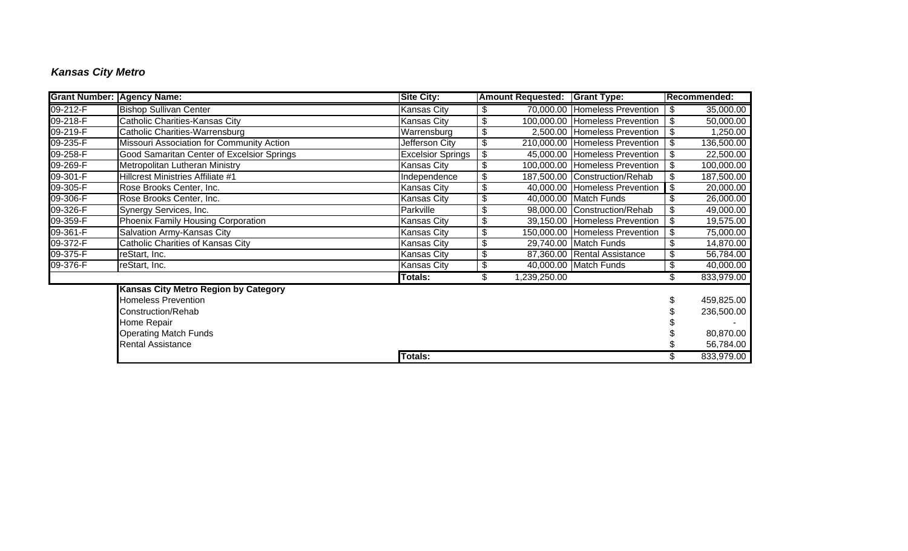## *Kansas City Metro*

| <b>Grant Number: Agency Name:</b> |                                             | <b>Site City:</b>        |                           | <b>Amount Requested: Grant Type:</b> |                                | Recommended:     |
|-----------------------------------|---------------------------------------------|--------------------------|---------------------------|--------------------------------------|--------------------------------|------------------|
| $09 - 212 - F$                    | <b>Bishop Sullivan Center</b>               | <b>Kansas City</b>       | \$                        |                                      | 70,000.00 Homeless Prevention  | \$<br>35,000.00  |
| 09-218-F                          | Catholic Charities-Kansas City              | <b>Kansas City</b>       | \$                        |                                      | 100,000.00 Homeless Prevention | \$<br>50,000.00  |
| 09-219-F                          | Catholic Charities-Warrensburg              | Warrensburg              | \$                        |                                      | 2,500.00 Homeless Prevention   | \$<br>1,250.00   |
| 09-235-F                          | Missouri Association for Community Action   | Jefferson City           | \$                        |                                      | 210,000.00 Homeless Prevention | \$<br>136,500.00 |
| 09-258-F                          | Good Samaritan Center of Excelsior Springs  | <b>Excelsior Springs</b> | \$                        |                                      | 45,000.00 Homeless Prevention  | \$<br>22,500.00  |
| 09-269-F                          | Metropolitan Lutheran Ministry              | <b>Kansas City</b>       | \$                        |                                      | 100,000.00 Homeless Prevention | \$<br>100,000.00 |
| 09-301-F                          | Hillcrest Ministries Affiliate #1           | Independence             | $\overline{\mathfrak{s}}$ |                                      | 187,500.00 Construction/Rehab  | \$<br>187,500.00 |
| 09-305-F                          | Rose Brooks Center, Inc.                    | <b>Kansas City</b>       | $\overline{\mathbf{e}}$   |                                      | 40,000.00 Homeless Prevention  | \$<br>20,000.00  |
| 09-306-F                          | Rose Brooks Center, Inc.                    | <b>Kansas City</b>       | $\overline{\mathbf{e}}$   |                                      | 40,000.00 Match Funds          | 26,000.00        |
| 09-326-F                          | Synergy Services, Inc.                      | Parkville                | $\overline{\mathcal{G}}$  |                                      | 98,000.00 Construction/Rehab   | \$<br>49,000.00  |
| 09-359-F                          | Phoenix Family Housing Corporation          | <b>Kansas City</b>       | $\overline{\mathfrak{s}}$ |                                      | 39,150.00 Homeless Prevention  | \$<br>19,575.00  |
| 09-361-F                          | Salvation Army-Kansas City                  | <b>Kansas City</b>       | $\overline{\mathfrak{s}}$ |                                      | 150,000.00 Homeless Prevention | \$<br>75,000.00  |
| 09-372-F                          | Catholic Charities of Kansas City           | <b>Kansas City</b>       | \$                        |                                      | 29,740.00 Match Funds          | \$<br>14,870.00  |
| 09-375-F                          | reStart, Inc.                               | <b>Kansas City</b>       | \$                        |                                      | 87,360.00 Rental Assistance    | 56,784.00        |
| 09-376-F                          | reStart, Inc.                               | <b>Kansas City</b>       | \$                        |                                      | 40,000.00 Match Funds          | \$<br>40,000.00  |
|                                   |                                             | <b>Totals:</b>           | \$                        | 1,239,250.00                         |                                | 833,979.00       |
|                                   | <b>Kansas City Metro Region by Category</b> |                          |                           |                                      |                                |                  |
|                                   | <b>Homeless Prevention</b>                  |                          |                           |                                      |                                | 459,825.00       |
|                                   | Construction/Rehab                          |                          |                           |                                      |                                | 236,500.00       |
|                                   | Home Repair                                 |                          |                           |                                      |                                |                  |
|                                   | <b>Operating Match Funds</b>                |                          |                           |                                      |                                | 80,870.00        |
|                                   | <b>Rental Assistance</b>                    |                          |                           |                                      |                                | 56,784.00        |
|                                   |                                             | <b>Totals:</b>           |                           |                                      |                                | 833,979.00       |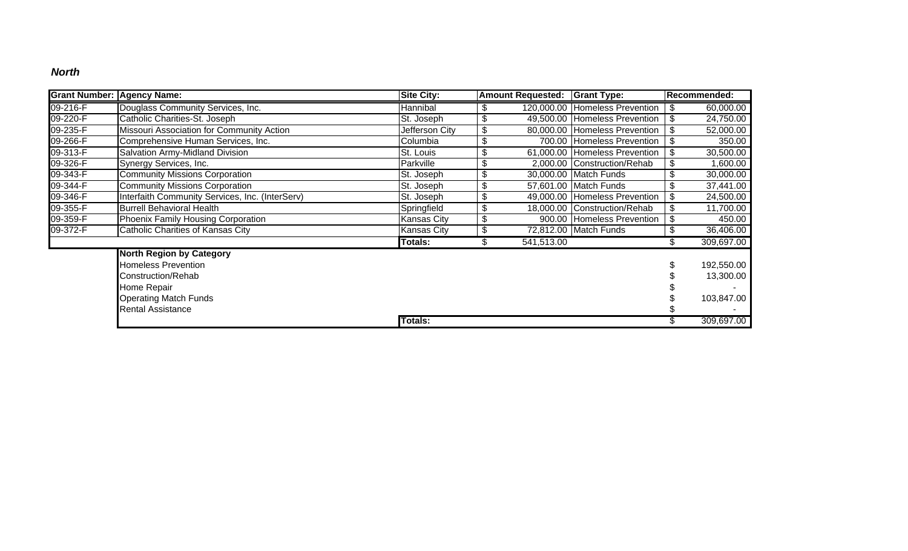#### *North*

| <b>Grant Number: Agency Name:</b> |                                                 | <b>Site City:</b> | <b>Amount Requested: Grant Type:</b> |            |                                  | Recommended: |            |
|-----------------------------------|-------------------------------------------------|-------------------|--------------------------------------|------------|----------------------------------|--------------|------------|
| 09-216-F                          | Douglass Community Services, Inc.               | Hannibal          |                                      |            | 120,000.00 Homeless Prevention   | \$           | 60,000.00  |
| 09-220-F                          | Catholic Charities-St. Joseph                   | St. Joseph        | \$                                   |            | 49,500.00 Homeless Prevention    | \$           | 24,750.00  |
| 09-235-F                          | Missouri Association for Community Action       | Jefferson City    | \$                                   |            | 80,000.00 Homeless Prevention    | \$           | 52,000.00  |
| 09-266-F                          | Comprehensive Human Services, Inc.              | Columbia          | \$                                   |            | 700.00 Homeless Prevention<br>\$ |              | 350.00     |
| 09-313-F                          | Salvation Army-Midland Division                 | St. Louis         | \$                                   |            | 61,000.00 Homeless Prevention    | \$           | 30,500.00  |
| 09-326-F                          | Synergy Services, Inc.                          | Parkville         | \$                                   |            | 2,000.00 Construction/Rehab      | \$           | 1,600.00   |
| 09-343-F                          | <b>Community Missions Corporation</b>           | St. Joseph        | \$                                   |            | 30,000.00 Match Funds            | \$           | 30,000.00  |
| 09-344-F                          | <b>Community Missions Corporation</b>           | St. Joseph        | \$                                   |            | 57,601.00 Match Funds            | \$           | 37,441.00  |
| 09-346-F                          | Interfaith Community Services, Inc. (InterServ) | St. Joseph        | \$                                   |            | 49,000.00 Homeless Prevention    | \$           | 24,500.00  |
| 09-355-F                          | <b>Burrell Behavioral Health</b>                | Springfield       | \$                                   |            | 18,000.00 Construction/Rehab     | \$           | 11,700.00  |
| 09-359-F                          | Phoenix Family Housing Corporation              | Kansas City       | \$                                   |            | 900.00 Homeless Prevention       | \$           | 450.00     |
| 09-372-F                          | Catholic Charities of Kansas City               | Kansas City       | \$                                   |            | 72,812.00 Match Funds            | \$           | 36,406.00  |
|                                   |                                                 | Totals:           | \$                                   | 541,513.00 |                                  | \$           | 309,697.00 |
|                                   | <b>North Region by Category</b>                 |                   |                                      |            |                                  |              |            |
|                                   | Homeless Prevention                             |                   |                                      |            |                                  |              | 192,550.00 |
|                                   | Construction/Rehab                              |                   |                                      |            |                                  |              | 13,300.00  |
|                                   | Home Repair                                     |                   |                                      |            |                                  |              |            |
|                                   | <b>Operating Match Funds</b>                    |                   |                                      |            |                                  |              | 103,847.00 |
|                                   | <b>Rental Assistance</b>                        |                   |                                      |            |                                  |              |            |
|                                   |                                                 | Totals:           |                                      |            |                                  |              | 309,697.00 |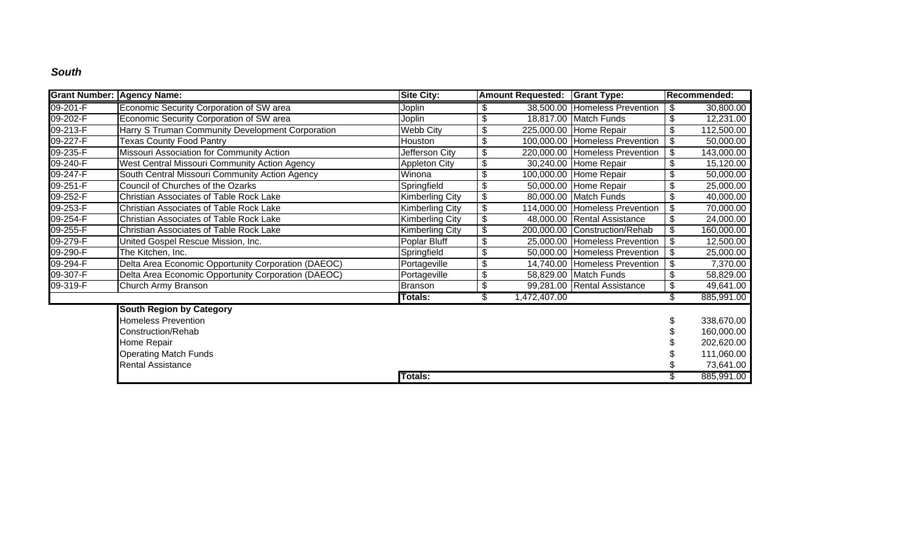### *South*

| <b>Grant Number: Agency Name:</b> |                                                     | <b>Site City:</b>      |                                           | <b>Amount Requested:   Grant Type:</b> |                                | Recommended:     |
|-----------------------------------|-----------------------------------------------------|------------------------|-------------------------------------------|----------------------------------------|--------------------------------|------------------|
| 09-201-F                          | Economic Security Corporation of SW area            | Joplin                 | \$                                        |                                        | 38,500.00 Homeless Prevention  | \$<br>30,800.00  |
| 09-202-F                          | Economic Security Corporation of SW area            | Joplin                 | \$                                        |                                        | 18,817.00 Match Funds          | \$<br>12,231.00  |
| 09-213-F                          | Harry S Truman Community Development Corporation    | Webb City              | \$                                        |                                        | 225,000.00 Home Repair         | \$<br>112,500.00 |
| 09-227-F                          | <b>Texas County Food Pantry</b>                     | Houston                | \$                                        |                                        | 100,000.00 Homeless Prevention | \$<br>50,000.00  |
| 09-235-F                          | Missouri Association for Community Action           | Jefferson City         | \$                                        |                                        | 220,000.00 Homeless Prevention | \$<br>143,000.00 |
| 09-240-F                          | West Central Missouri Community Action Agency       | <b>Appleton City</b>   | \$                                        |                                        | 30,240.00 Home Repair          | \$<br>15,120.00  |
| 09-247-F                          | South Central Missouri Community Action Agency      | Winona                 | \$                                        |                                        | 100,000.00 Home Repair         | \$<br>50,000.00  |
| 09-251-F                          | Council of Churches of the Ozarks                   | Springfield            | \$                                        |                                        | 50,000.00 Home Repair          | \$<br>25,000.00  |
| 09-252-F                          | Christian Associates of Table Rock Lake             | <b>Kimberling City</b> | $\, \, \raisebox{12pt}{$\scriptstyle \$}$ |                                        | 80,000.00 Match Funds          | \$<br>40,000.00  |
| 09-253-F                          | Christian Associates of Table Rock Lake             | <b>Kimberling City</b> | \$                                        |                                        | 114,000.00 Homeless Prevention | \$<br>70,000.00  |
| 09-254-F                          | <b>Christian Associates of Table Rock Lake</b>      | <b>Kimberling City</b> | \$                                        |                                        | 48,000.00 Rental Assistance    | \$<br>24,000.00  |
| 09-255-F                          | <b>Christian Associates of Table Rock Lake</b>      | <b>Kimberling City</b> | \$                                        |                                        | 200,000.00 Construction/Rehab  | \$<br>160,000.00 |
| 09-279-F                          | United Gospel Rescue Mission, Inc.                  | Poplar Bluff           | $\overline{\mathcal{G}}$                  |                                        | 25,000.00 Homeless Prevention  | \$<br>12,500.00  |
| 09-290-F                          | The Kitchen, Inc.                                   | Springfield            | \$                                        |                                        | 50,000.00 Homeless Prevention  | \$<br>25,000.00  |
| 09-294-F                          | Delta Area Economic Opportunity Corporation (DAEOC) | Portageville           | $\overline{\mathbf{e}}$                   |                                        | 14,740.00 Homeless Prevention  | \$<br>7,370.00   |
| 09-307-F                          | Delta Area Economic Opportunity Corporation (DAEOC) | Portageville           | \$                                        |                                        | 58,829.00 Match Funds          | \$<br>58,829.00  |
| $09-319-F$                        | Church Army Branson                                 | <b>Branson</b>         | \$                                        |                                        | 99,281.00 Rental Assistance    | \$<br>49,641.00  |
|                                   |                                                     | <b>Totals:</b>         | \$                                        | 1,472,407.00                           |                                | \$<br>885,991.00 |
|                                   | <b>South Region by Category</b>                     |                        |                                           |                                        |                                |                  |
|                                   | <b>Homeless Prevention</b>                          |                        |                                           |                                        |                                | 338,670.00       |
|                                   | Construction/Rehab                                  |                        |                                           |                                        |                                | 160,000.00       |
|                                   | Home Repair                                         |                        |                                           |                                        |                                | 202,620.00       |
|                                   | <b>Operating Match Funds</b>                        |                        |                                           |                                        |                                | 111,060.00       |
|                                   | <b>Rental Assistance</b>                            |                        |                                           |                                        |                                | 73,641.00        |
|                                   |                                                     | <b>Totals:</b>         |                                           |                                        |                                | 885,991.00       |